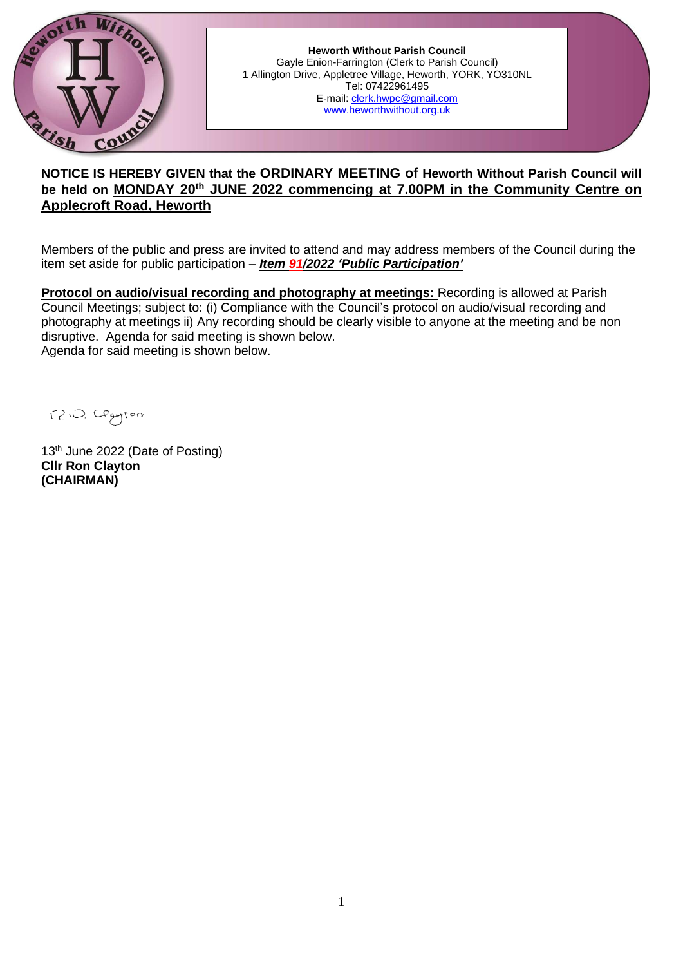

**Heworth Without Parish Council** Gayle Enion-Farrington (Clerk to Parish Council) 1 Allington Drive, Appletree Village, Heworth, YORK, YO310NL Tel: 07422961495 E-mail: [clerk.hwpc@gmail.com](../../../../../../ronal/AppData/ronal/AppData/MINUTES/clerk.hwpc@gmail.com) [www.heworthwithout.org.uk](../../../../../../ronal/Chris/AppData/Local/Microsoft/Windows/INetCache/Content.Outlook/DA8ZNLLF/www.heworthwithout.org.uk)

# **NOTICE IS HEREBY GIVEN that the ORDINARY MEETING of Heworth Without Parish Council will be held on MONDAY 20th JUNE 2022 commencing at 7.00PM in the Community Centre on Applecroft Road, Heworth**

Members of the public and press are invited to attend and may address members of the Council during the item set aside for public participation – *Item 91/2022 'Public Participation'*

**Protocol on audio/visual recording and photography at meetings:** Recording is allowed at Parish Council Meetings; subject to: (i) Compliance with the Council's protocol on audio/visual recording and photography at meetings ii) Any recording should be clearly visible to anyone at the meeting and be non disruptive. Agenda for said meeting is shown below. Agenda for said meeting is shown below.

1?10. Clayton

13<sup>th</sup> June 2022 (Date of Posting) **Cllr Ron Clayton (CHAIRMAN)**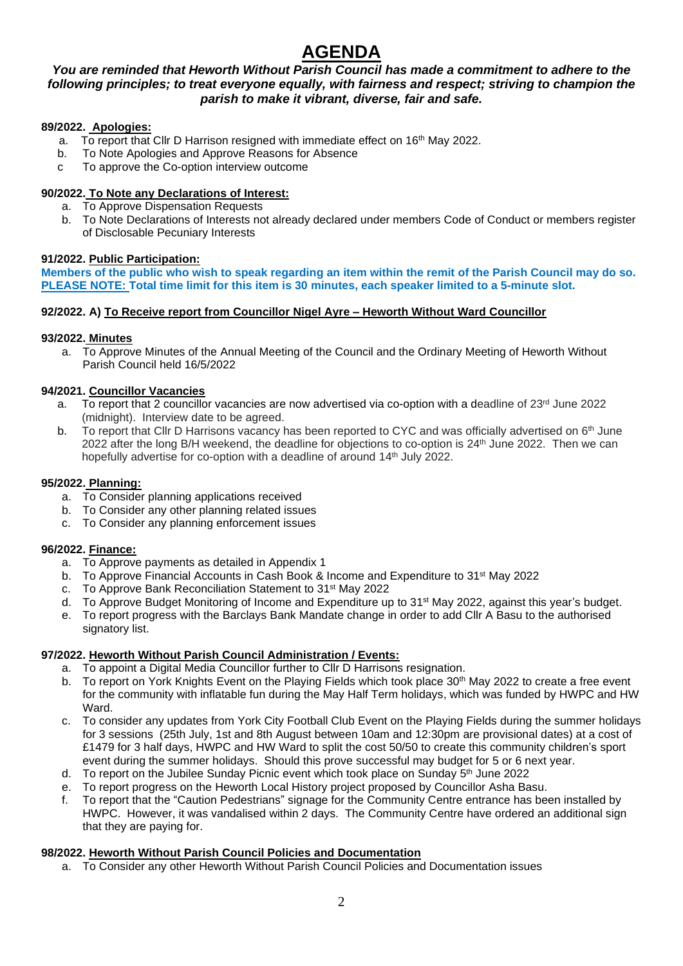# **AGENDA**

# *You are reminded that Heworth Without Parish Council has made a commitment to adhere to the following principles; to treat everyone equally, with fairness and respect; striving to champion the parish to make it vibrant, diverse, fair and safe.*

# **89/2022. Apologies:**

- a. To report that Cllr D Harrison resigned with immediate effect on 16<sup>th</sup> May 2022.
- b. To Note Apologies and Approve Reasons for Absence
- c To approve the Co-option interview outcome

## **90/2022. To Note any Declarations of Interest:**

- a. To Approve Dispensation Requests
- b. To Note Declarations of Interests not already declared under members Code of Conduct or members register of Disclosable Pecuniary Interests

# **91/2022. Public Participation:**

**Members of the public who wish to speak regarding an item within the remit of the Parish Council may do so. PLEASE NOTE: Total time limit for this item is 30 minutes, each speaker limited to a 5-minute slot.**

# **92/2022. A) To Receive report from Councillor Nigel Ayre – Heworth Without Ward Councillor**

# **93/2022. Minutes**

a. To Approve Minutes of the Annual Meeting of the Council and the Ordinary Meeting of Heworth Without Parish Council held 16/5/2022

# **94/2021. Councillor Vacancies**

- a. To report that 2 councillor vacancies are now advertised via co-option with a deadline of 23rd June 2022 (midnight). Interview date to be agreed.
- b. To report that Cllr D Harrisons vacancy has been reported to CYC and was officially advertised on 6<sup>th</sup> June 2022 after the long B/H weekend, the deadline for objections to co-option is 24th June 2022. Then we can hopefully advertise for co-option with a deadline of around 14<sup>th</sup> July 2022.

# **95/2022. Planning:**

- a. To Consider planning applications received
- b. To Consider any other planning related issues
- c. To Consider any planning enforcement issues

# **96/2022. Finance:**

- a. To Approve payments as detailed in Appendix 1
- b. To Approve Financial Accounts in Cash Book & Income and Expenditure to 31<sup>st</sup> May 2022
- c. To Approve Bank Reconciliation Statement to 31st May 2022
- d. To Approve Budget Monitoring of Income and Expenditure up to 31st May 2022, against this year's budget.
- e. To report progress with the Barclays Bank Mandate change in order to add Cllr A Basu to the authorised signatory list.

# **97/2022. Heworth Without Parish Council Administration / Events:**

- a. To appoint a Digital Media Councillor further to Cllr D Harrisons resignation.<br>b. To report on York Knights Event on the Playing Fields which took place  $30<sup>th</sup>$
- To report on York Knights Event on the Playing Fields which took place 30<sup>th</sup> May 2022 to create a free event for the community with inflatable fun during the May Half Term holidays, which was funded by HWPC and HW Ward.
- c. To consider any updates from York City Football Club Event on the Playing Fields during the summer holidays for 3 sessions (25th July, 1st and 8th August between 10am and 12:30pm are provisional dates) at a cost of £1479 for 3 half days, HWPC and HW Ward to split the cost 50/50 to create this community children's sport event during the summer holidays. Should this prove successful may budget for 5 or 6 next year.
- d. To report on the Jubilee Sunday Picnic event which took place on Sunday  $5<sup>th</sup>$  June 2022
- e. To report progress on the Heworth Local History project proposed by Councillor Asha Basu.
- f. To report that the "Caution Pedestrians" signage for the Community Centre entrance has been installed by HWPC. However, it was vandalised within 2 days. The Community Centre have ordered an additional sign that they are paying for.

# **98/2022. Heworth Without Parish Council Policies and Documentation**

a. To Consider any other Heworth Without Parish Council Policies and Documentation issues